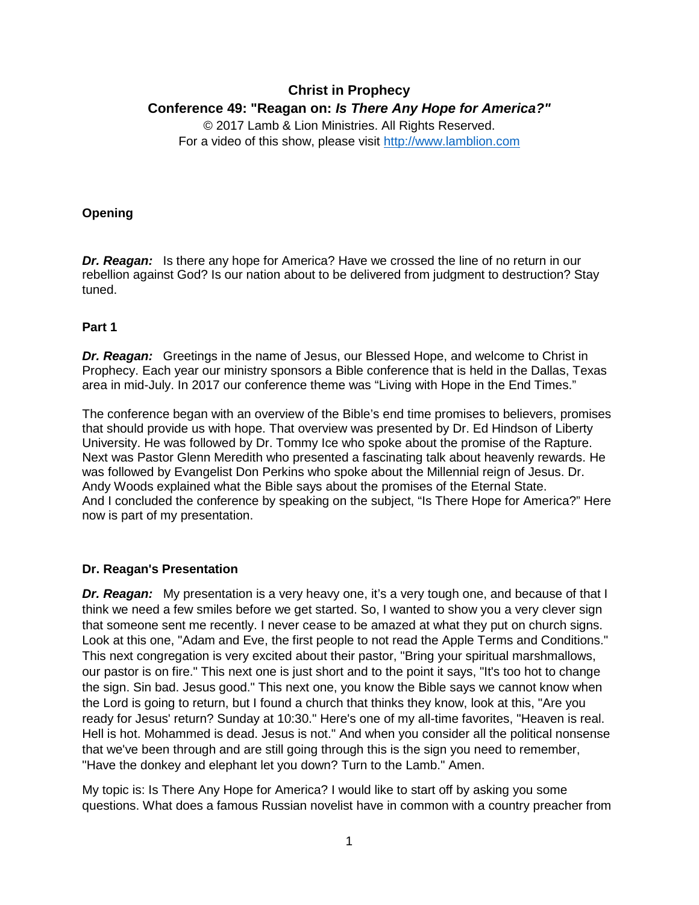# **Christ in Prophecy Conference 49: "Reagan on:** *Is There Any Hope for America?"*

© 2017 Lamb & Lion Ministries. All Rights Reserved. For a video of this show, please visit [http://www.lamblion.com](http://www.lamblion.com/)

#### **Opening**

**Dr. Reagan:** Is there any hope for America? Have we crossed the line of no return in our rebellion against God? Is our nation about to be delivered from judgment to destruction? Stay tuned.

### **Part 1**

**Dr. Reagan:** Greetings in the name of Jesus, our Blessed Hope, and welcome to Christ in Prophecy. Each year our ministry sponsors a Bible conference that is held in the Dallas, Texas area in mid-July. In 2017 our conference theme was "Living with Hope in the End Times."

The conference began with an overview of the Bible's end time promises to believers, promises that should provide us with hope. That overview was presented by Dr. Ed Hindson of Liberty University. He was followed by Dr. Tommy Ice who spoke about the promise of the Rapture. Next was Pastor Glenn Meredith who presented a fascinating talk about heavenly rewards. He was followed by Evangelist Don Perkins who spoke about the Millennial reign of Jesus. Dr. Andy Woods explained what the Bible says about the promises of the Eternal State. And I concluded the conference by speaking on the subject, "Is There Hope for America?" Here now is part of my presentation.

#### **Dr. Reagan's Presentation**

*Dr. Reagan:* My presentation is a very heavy one, it's a very tough one, and because of that I think we need a few smiles before we get started. So, I wanted to show you a very clever sign that someone sent me recently. I never cease to be amazed at what they put on church signs. Look at this one, "Adam and Eve, the first people to not read the Apple Terms and Conditions." This next congregation is very excited about their pastor, "Bring your spiritual marshmallows, our pastor is on fire." This next one is just short and to the point it says, "It's too hot to change the sign. Sin bad. Jesus good." This next one, you know the Bible says we cannot know when the Lord is going to return, but I found a church that thinks they know, look at this, "Are you ready for Jesus' return? Sunday at 10:30." Here's one of my all-time favorites, "Heaven is real. Hell is hot. Mohammed is dead. Jesus is not." And when you consider all the political nonsense that we've been through and are still going through this is the sign you need to remember, "Have the donkey and elephant let you down? Turn to the Lamb." Amen.

My topic is: Is There Any Hope for America? I would like to start off by asking you some questions. What does a famous Russian novelist have in common with a country preacher from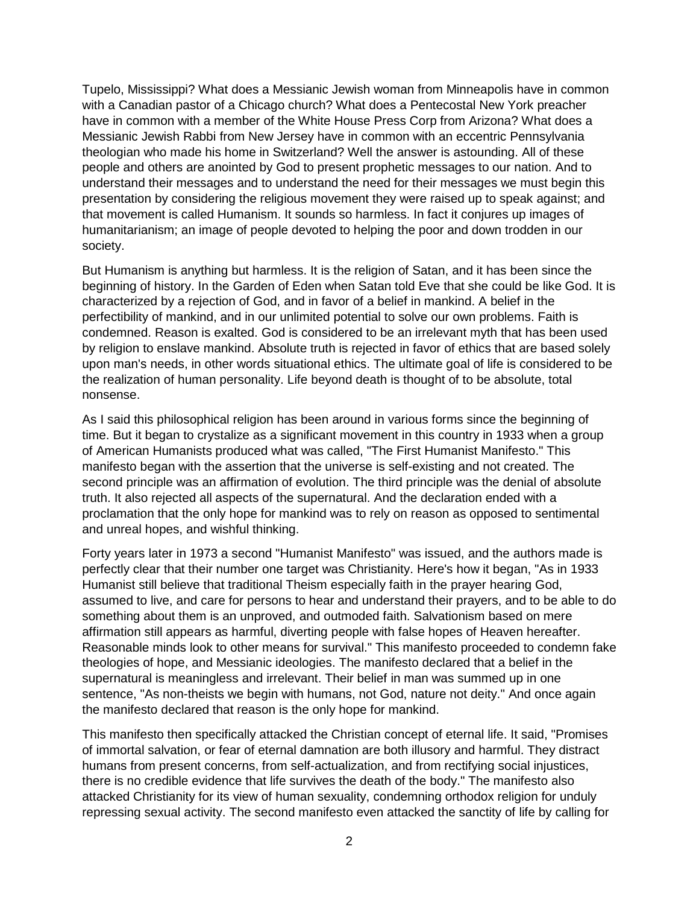Tupelo, Mississippi? What does a Messianic Jewish woman from Minneapolis have in common with a Canadian pastor of a Chicago church? What does a Pentecostal New York preacher have in common with a member of the White House Press Corp from Arizona? What does a Messianic Jewish Rabbi from New Jersey have in common with an eccentric Pennsylvania theologian who made his home in Switzerland? Well the answer is astounding. All of these people and others are anointed by God to present prophetic messages to our nation. And to understand their messages and to understand the need for their messages we must begin this presentation by considering the religious movement they were raised up to speak against; and that movement is called Humanism. It sounds so harmless. In fact it conjures up images of humanitarianism; an image of people devoted to helping the poor and down trodden in our society.

But Humanism is anything but harmless. It is the religion of Satan, and it has been since the beginning of history. In the Garden of Eden when Satan told Eve that she could be like God. It is characterized by a rejection of God, and in favor of a belief in mankind. A belief in the perfectibility of mankind, and in our unlimited potential to solve our own problems. Faith is condemned. Reason is exalted. God is considered to be an irrelevant myth that has been used by religion to enslave mankind. Absolute truth is rejected in favor of ethics that are based solely upon man's needs, in other words situational ethics. The ultimate goal of life is considered to be the realization of human personality. Life beyond death is thought of to be absolute, total nonsense.

As I said this philosophical religion has been around in various forms since the beginning of time. But it began to crystalize as a significant movement in this country in 1933 when a group of American Humanists produced what was called, "The First Humanist Manifesto." This manifesto began with the assertion that the universe is self-existing and not created. The second principle was an affirmation of evolution. The third principle was the denial of absolute truth. It also rejected all aspects of the supernatural. And the declaration ended with a proclamation that the only hope for mankind was to rely on reason as opposed to sentimental and unreal hopes, and wishful thinking.

Forty years later in 1973 a second "Humanist Manifesto" was issued, and the authors made is perfectly clear that their number one target was Christianity. Here's how it began, "As in 1933 Humanist still believe that traditional Theism especially faith in the prayer hearing God, assumed to live, and care for persons to hear and understand their prayers, and to be able to do something about them is an unproved, and outmoded faith. Salvationism based on mere affirmation still appears as harmful, diverting people with false hopes of Heaven hereafter. Reasonable minds look to other means for survival." This manifesto proceeded to condemn fake theologies of hope, and Messianic ideologies. The manifesto declared that a belief in the supernatural is meaningless and irrelevant. Their belief in man was summed up in one sentence, "As non-theists we begin with humans, not God, nature not deity." And once again the manifesto declared that reason is the only hope for mankind.

This manifesto then specifically attacked the Christian concept of eternal life. It said, "Promises of immortal salvation, or fear of eternal damnation are both illusory and harmful. They distract humans from present concerns, from self-actualization, and from rectifying social injustices, there is no credible evidence that life survives the death of the body." The manifesto also attacked Christianity for its view of human sexuality, condemning orthodox religion for unduly repressing sexual activity. The second manifesto even attacked the sanctity of life by calling for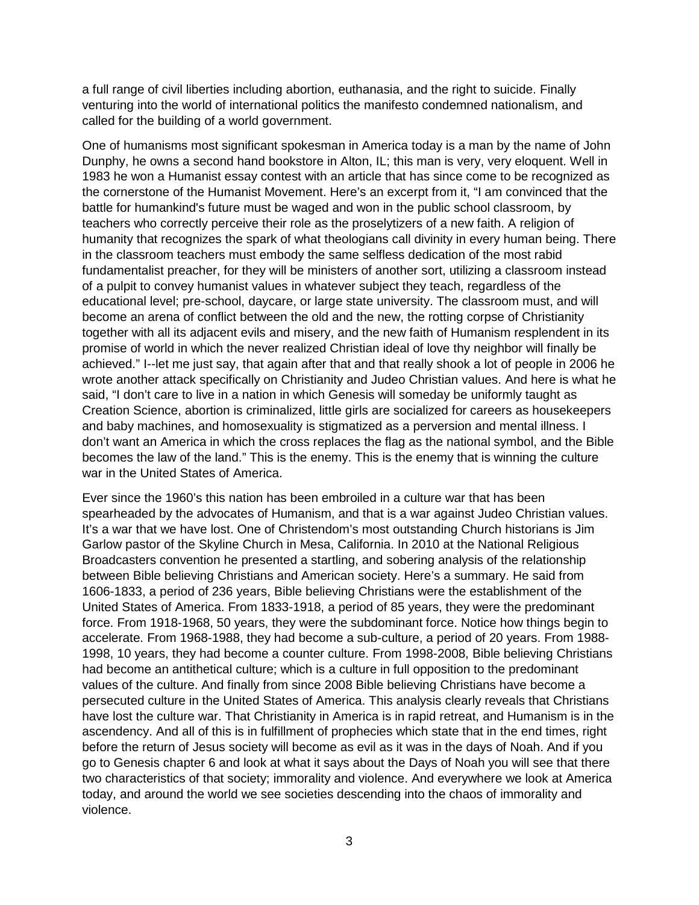a full range of civil liberties including abortion, euthanasia, and the right to suicide. Finally venturing into the world of international politics the manifesto condemned nationalism, and called for the building of a world government.

One of humanisms most significant spokesman in America today is a man by the name of John Dunphy, he owns a second hand bookstore in Alton, IL; this man is very, very eloquent. Well in 1983 he won a Humanist essay contest with an article that has since come to be recognized as the cornerstone of the Humanist Movement. Here's an excerpt from it, "I am convinced that the battle for humankind's future must be waged and won in the public school classroom, by teachers who correctly perceive their role as the proselytizers of a new faith. A religion of humanity that recognizes the spark of what theologians call divinity in every human being. There in the classroom teachers must embody the same selfless dedication of the most rabid fundamentalist preacher, for they will be ministers of another sort, utilizing a classroom instead of a pulpit to convey humanist values in whatever subject they teach, regardless of the educational level; pre-school, daycare, or large state university. The classroom must, and will become an arena of conflict between the old and the new, the rotting corpse of Christianity together with all its adjacent evils and misery, and the new faith of Humanism r*e*splendent in its promise of world in which the never realized Christian ideal of love thy neighbor will finally be achieved." I--let me just say, that again after that and that really shook a lot of people in 2006 he wrote another attack specifically on Christianity and Judeo Christian values. And here is what he said, "I don't care to live in a nation in which Genesis will someday be uniformly taught as Creation Science, abortion is criminalized, little girls are socialized for careers as housekeepers and baby machines, and homosexuality is stigmatized as a perversion and mental illness. I don't want an America in which the cross replaces the flag as the national symbol, and the Bible becomes the law of the land." This is the enemy. This is the enemy that is winning the culture war in the United States of America.

Ever since the 1960's this nation has been embroiled in a culture war that has been spearheaded by the advocates of Humanism, and that is a war against Judeo Christian values. It's a war that we have lost. One of Christendom's most outstanding Church historians is Jim Garlow pastor of the Skyline Church in Mesa, California. In 2010 at the National Religious Broadcasters convention he presented a startling, and sobering analysis of the relationship between Bible believing Christians and American society. Here's a summary. He said from 1606-1833, a period of 236 years, Bible believing Christians were the establishment of the United States of America. From 1833-1918, a period of 85 years, they were the predominant force. From 1918-1968, 50 years, they were the subdominant force. Notice how things begin to accelerate. From 1968-1988, they had become a sub-culture, a period of 20 years. From 1988- 1998, 10 years, they had become a counter culture. From 1998-2008, Bible believing Christians had become an antithetical culture; which is a culture in full opposition to the predominant values of the culture. And finally from since 2008 Bible believing Christians have become a persecuted culture in the United States of America. This analysis clearly reveals that Christians have lost the culture war. That Christianity in America is in rapid retreat, and Humanism is in the ascendency. And all of this is in fulfillment of prophecies which state that in the end times, right before the return of Jesus society will become as evil as it was in the days of Noah. And if you go to Genesis chapter 6 and look at what it says about the Days of Noah you will see that there two characteristics of that society; immorality and violence. And everywhere we look at America today, and around the world we see societies descending into the chaos of immorality and violence.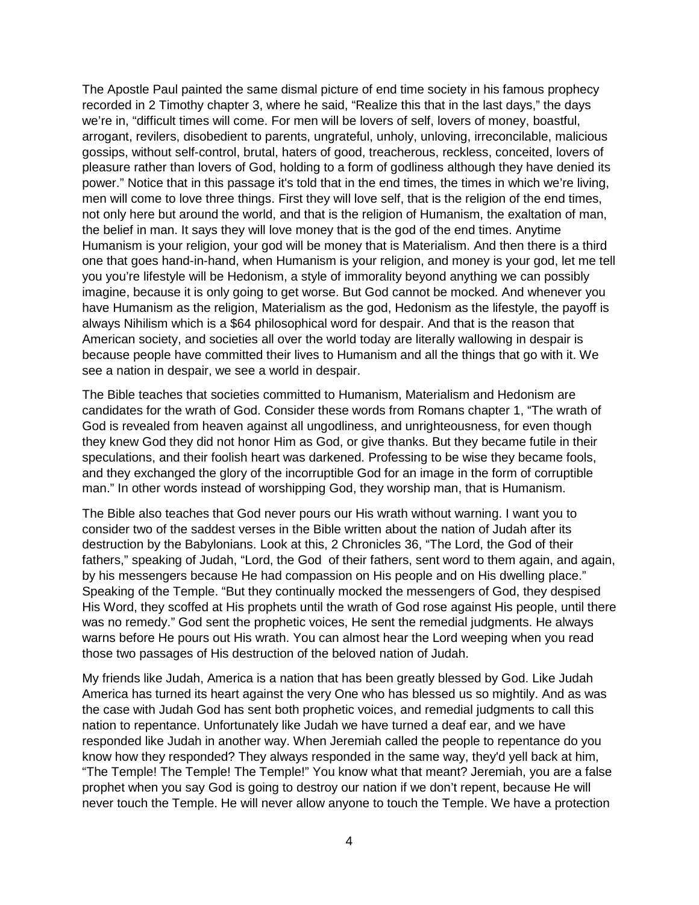The Apostle Paul painted the same dismal picture of end time society in his famous prophecy recorded in 2 Timothy chapter 3, where he said, "Realize this that in the last days," the days we're in, "difficult times will come. For men will be lovers of self, lovers of money, boastful, arrogant, revilers, disobedient to parents, ungrateful, unholy, unloving, irreconcilable, malicious gossips, without self-control, brutal, haters of good, treacherous, reckless, conceited, lovers of pleasure rather than lovers of God, holding to a form of godliness although they have denied its power." Notice that in this passage it's told that in the end times, the times in which we're living, men will come to love three things. First they will love self, that is the religion of the end times, not only here but around the world, and that is the religion of Humanism, the exaltation of man, the belief in man. It says they will love money that is the god of the end times. Anytime Humanism is your religion, your god will be money that is Materialism. And then there is a third one that goes hand-in-hand, when Humanism is your religion, and money is your god, let me tell you you're lifestyle will be Hedonism, a style of immorality beyond anything we can possibly imagine, because it is only going to get worse. But God cannot be mocked. And whenever you have Humanism as the religion, Materialism as the god, Hedonism as the lifestyle, the payoff is always Nihilism which is a \$64 philosophical word for despair. And that is the reason that American society, and societies all over the world today are literally wallowing in despair is because people have committed their lives to Humanism and all the things that go with it. We see a nation in despair, we see a world in despair.

The Bible teaches that societies committed to Humanism, Materialism and Hedonism are candidates for the wrath of God. Consider these words from Romans chapter 1, "The wrath of God is revealed from heaven against all ungodliness, and unrighteousness, for even though they knew God they did not honor Him as God, or give thanks. But they became futile in their speculations, and their foolish heart was darkened. Professing to be wise they became fools, and they exchanged the glory of the incorruptible God for an image in the form of corruptible man." In other words instead of worshipping God, they worship man, that is Humanism.

The Bible also teaches that God never pours our His wrath without warning. I want you to consider two of the saddest verses in the Bible written about the nation of Judah after its destruction by the Babylonians. Look at this, 2 Chronicles 36, "The Lord, the God of their fathers," speaking of Judah, "Lord, the God of their fathers, sent word to them again, and again, by his messengers because He had compassion on His people and on His dwelling place." Speaking of the Temple. "But they continually mocked the messengers of God, they despised His Word, they scoffed at His prophets until the wrath of God rose against His people, until there was no remedy." God sent the prophetic voices, He sent the remedial judgments. He always warns before He pours out His wrath. You can almost hear the Lord weeping when you read those two passages of His destruction of the beloved nation of Judah.

My friends like Judah, America is a nation that has been greatly blessed by God. Like Judah America has turned its heart against the very One who has blessed us so mightily. And as was the case with Judah God has sent both prophetic voices, and remedial judgments to call this nation to repentance. Unfortunately like Judah we have turned a deaf ear, and we have responded like Judah in another way. When Jeremiah called the people to repentance do you know how they responded? They always responded in the same way, they'd yell back at him, "The Temple! The Temple! The Temple!" You know what that meant? Jeremiah, you are a false prophet when you say God is going to destroy our nation if we don't repent, because He will never touch the Temple. He will never allow anyone to touch the Temple. We have a protection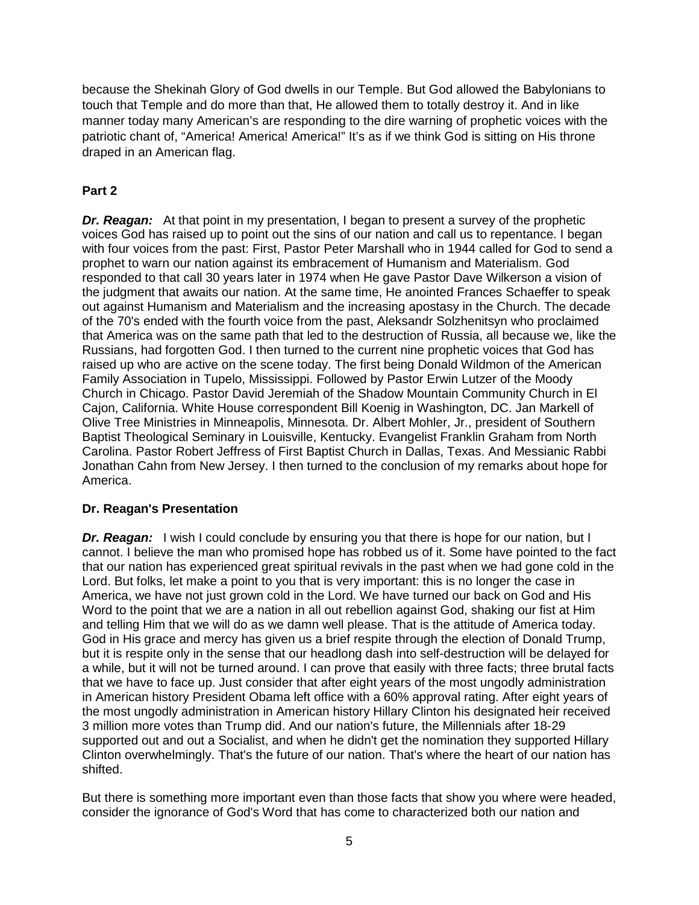because the Shekinah Glory of God dwells in our Temple. But God allowed the Babylonians to touch that Temple and do more than that, He allowed them to totally destroy it. And in like manner today many American's are responding to the dire warning of prophetic voices with the patriotic chant of, "America! America! America!" It's as if we think God is sitting on His throne draped in an American flag.

## **Part 2**

*Dr. Reagan:* At that point in my presentation, I began to present a survey of the prophetic voices God has raised up to point out the sins of our nation and call us to repentance. I began with four voices from the past: First, Pastor Peter Marshall who in 1944 called for God to send a prophet to warn our nation against its embracement of Humanism and Materialism. God responded to that call 30 years later in 1974 when He gave Pastor Dave Wilkerson a vision of the judgment that awaits our nation. At the same time, He anointed Frances Schaeffer to speak out against Humanism and Materialism and the increasing apostasy in the Church. The decade of the 70's ended with the fourth voice from the past, Aleksandr Solzhenitsyn who proclaimed that America was on the same path that led to the destruction of Russia, all because we, like the Russians, had forgotten God. I then turned to the current nine prophetic voices that God has raised up who are active on the scene today. The first being Donald Wildmon of the American Family Association in Tupelo, Mississippi. Followed by Pastor Erwin Lutzer of the Moody Church in Chicago. Pastor David Jeremiah of the Shadow Mountain Community Church in El Cajon, California. White House correspondent Bill Koenig in Washington, DC. Jan Markell of Olive Tree Ministries in Minneapolis, Minnesota. Dr. Albert Mohler, Jr., president of Southern Baptist Theological Seminary in Louisville, Kentucky. Evangelist Franklin Graham from North Carolina. Pastor Robert Jeffress of First Baptist Church in Dallas, Texas. And Messianic Rabbi Jonathan Cahn from New Jersey. I then turned to the conclusion of my remarks about hope for America.

#### **Dr. Reagan's Presentation**

**Dr. Reagan:** I wish I could conclude by ensuring you that there is hope for our nation, but I cannot. I believe the man who promised hope has robbed us of it. Some have pointed to the fact that our nation has experienced great spiritual revivals in the past when we had gone cold in the Lord. But folks, let make a point to you that is very important: this is no longer the case in America, we have not just grown cold in the Lord. We have turned our back on God and His Word to the point that we are a nation in all out rebellion against God, shaking our fist at Him and telling Him that we will do as we damn well please. That is the attitude of America today. God in His grace and mercy has given us a brief respite through the election of Donald Trump, but it is respite only in the sense that our headlong dash into self-destruction will be delayed for a while, but it will not be turned around. I can prove that easily with three facts; three brutal facts that we have to face up. Just consider that after eight years of the most ungodly administration in American history President Obama left office with a 60% approval rating. After eight years of the most ungodly administration in American history Hillary Clinton his designated heir received 3 million more votes than Trump did. And our nation's future, the Millennials after 18-29 supported out and out a Socialist, and when he didn't get the nomination they supported Hillary Clinton overwhelmingly. That's the future of our nation. That's where the heart of our nation has shifted.

But there is something more important even than those facts that show you where were headed, consider the ignorance of God's Word that has come to characterized both our nation and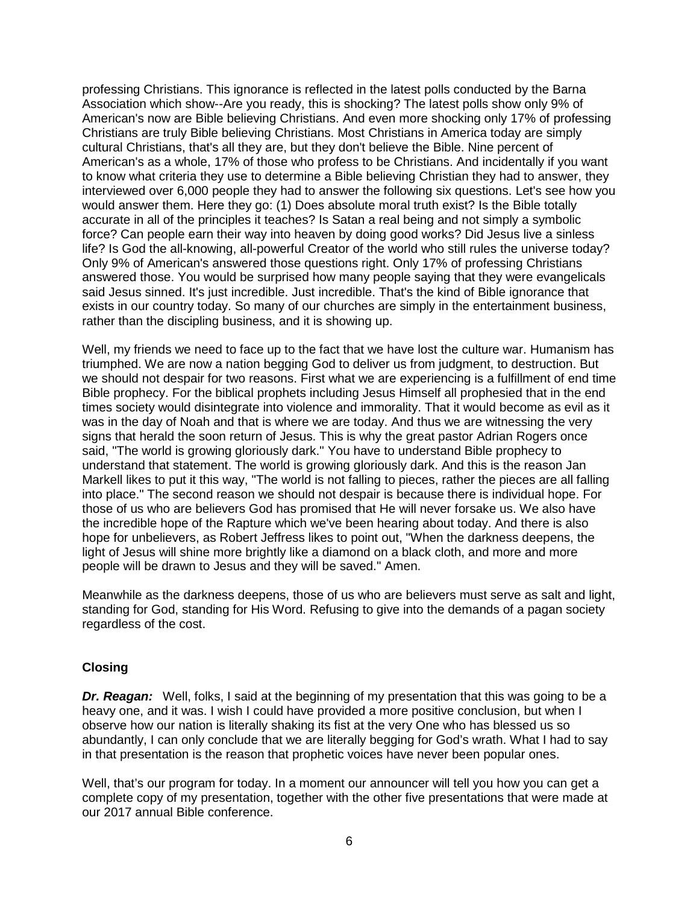professing Christians. This ignorance is reflected in the latest polls conducted by the Barna Association which show--Are you ready, this is shocking? The latest polls show only 9% of American's now are Bible believing Christians. And even more shocking only 17% of professing Christians are truly Bible believing Christians. Most Christians in America today are simply cultural Christians, that's all they are, but they don't believe the Bible. Nine percent of American's as a whole, 17% of those who profess to be Christians. And incidentally if you want to know what criteria they use to determine a Bible believing Christian they had to answer, they interviewed over 6,000 people they had to answer the following six questions. Let's see how you would answer them. Here they go: (1) Does absolute moral truth exist? Is the Bible totally accurate in all of the principles it teaches? Is Satan a real being and not simply a symbolic force? Can people earn their way into heaven by doing good works? Did Jesus live a sinless life? Is God the all-knowing, all-powerful Creator of the world who still rules the universe today? Only 9% of American's answered those questions right. Only 17% of professing Christians answered those. You would be surprised how many people saying that they were evangelicals said Jesus sinned. It's just incredible. Just incredible. That's the kind of Bible ignorance that exists in our country today. So many of our churches are simply in the entertainment business, rather than the discipling business, and it is showing up.

Well, my friends we need to face up to the fact that we have lost the culture war. Humanism has triumphed. We are now a nation begging God to deliver us from judgment, to destruction. But we should not despair for two reasons. First what we are experiencing is a fulfillment of end time Bible prophecy. For the biblical prophets including Jesus Himself all prophesied that in the end times society would disintegrate into violence and immorality. That it would become as evil as it was in the day of Noah and that is where we are today. And thus we are witnessing the very signs that herald the soon return of Jesus. This is why the great pastor Adrian Rogers once said, "The world is growing gloriously dark." You have to understand Bible prophecy to understand that statement. The world is growing gloriously dark. And this is the reason Jan Markell likes to put it this way, "The world is not falling to pieces, rather the pieces are all falling into place." The second reason we should not despair is because there is individual hope. For those of us who are believers God has promised that He will never forsake us. We also have the incredible hope of the Rapture which we've been hearing about today. And there is also hope for unbelievers, as Robert Jeffress likes to point out, "When the darkness deepens, the light of Jesus will shine more brightly like a diamond on a black cloth, and more and more people will be drawn to Jesus and they will be saved." Amen.

Meanwhile as the darkness deepens, those of us who are believers must serve as salt and light, standing for God, standing for His Word. Refusing to give into the demands of a pagan society regardless of the cost.

#### **Closing**

*Dr. Reagan:* Well, folks, I said at the beginning of my presentation that this was going to be a heavy one, and it was. I wish I could have provided a more positive conclusion, but when I observe how our nation is literally shaking its fist at the very One who has blessed us so abundantly, I can only conclude that we are literally begging for God's wrath. What I had to say in that presentation is the reason that prophetic voices have never been popular ones.

Well, that's our program for today. In a moment our announcer will tell you how you can get a complete copy of my presentation, together with the other five presentations that were made at our 2017 annual Bible conference.